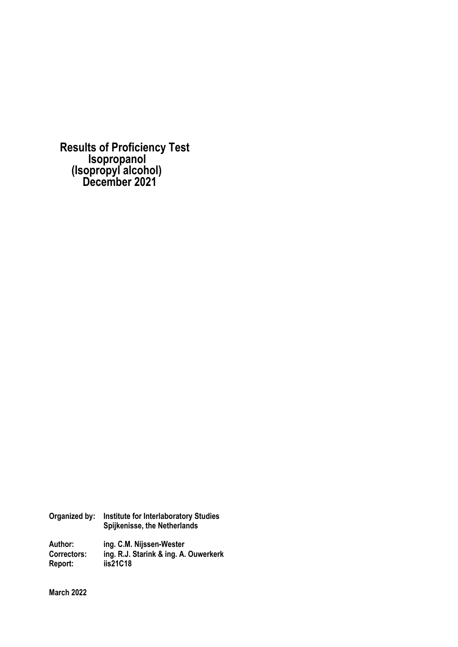**Results of Proficiency Test Isopropanol (Isopropyl alcohol) December 2021** 

| Organized by:      | <b>Institute for Interlaboratory Studies</b><br>Spijkenisse, the Netherlands |  |  |  |
|--------------------|------------------------------------------------------------------------------|--|--|--|
| Author:            | ing. C.M. Nijssen-Wester                                                     |  |  |  |
| <b>Correctors:</b> | ing. R.J. Starink & ing. A. Ouwerkerk                                        |  |  |  |
| Report:            | iis21C18                                                                     |  |  |  |

**March 2022**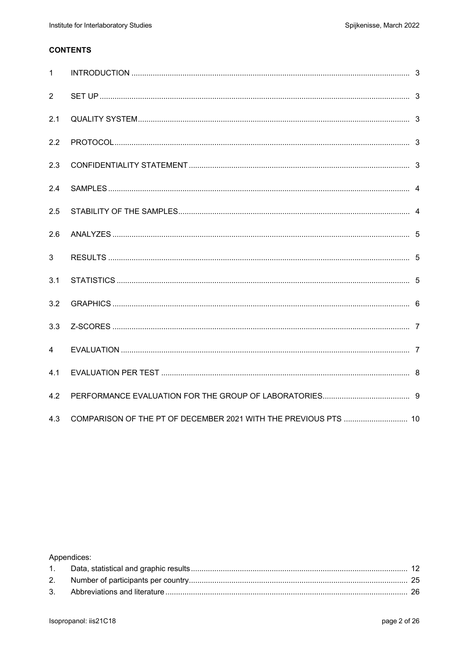## **CONTENTS**

| $\mathbf{1}$   |                                                                 |  |
|----------------|-----------------------------------------------------------------|--|
| 2              |                                                                 |  |
| 2.1            |                                                                 |  |
| 2.2            |                                                                 |  |
| 2.3            |                                                                 |  |
| 2.4            |                                                                 |  |
| 2.5            |                                                                 |  |
| 2.6            |                                                                 |  |
| 3              |                                                                 |  |
| 3.1            |                                                                 |  |
| 3.2            |                                                                 |  |
| 3.3            |                                                                 |  |
| $\overline{4}$ |                                                                 |  |
| 4.1            |                                                                 |  |
| 4.2            |                                                                 |  |
| 4.3            | COMPARISON OF THE PT OF DECEMBER 2021 WITH THE PREVIOUS PTS  10 |  |

## Appendices: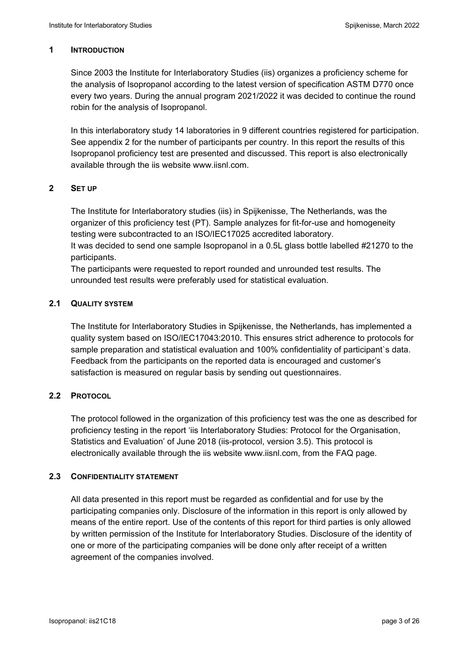#### **1 INTRODUCTION**

Since 2003 the Institute for Interlaboratory Studies (iis) organizes a proficiency scheme for the analysis of Isopropanol according to the latest version of specification ASTM D770 once every two years. During the annual program 2021/2022 it was decided to continue the round robin for the analysis of Isopropanol.

In this interlaboratory study 14 laboratories in 9 different countries registered for participation. See appendix 2 for the number of participants per country. In this report the results of this Isopropanol proficiency test are presented and discussed. This report is also electronically available through the iis website www.iisnl.com.

### **2 SET UP**

The Institute for Interlaboratory studies (iis) in Spijkenisse, The Netherlands, was the organizer of this proficiency test (PT). Sample analyzes for fit-for-use and homogeneity testing were subcontracted to an ISO/IEC17025 accredited laboratory.

It was decided to send one sample Isopropanol in a 0.5L glass bottle labelled #21270 to the participants.

The participants were requested to report rounded and unrounded test results. The unrounded test results were preferably used for statistical evaluation.

### **2.1 QUALITY SYSTEM**

The Institute for Interlaboratory Studies in Spijkenisse, the Netherlands, has implemented a quality system based on ISO/IEC17043:2010. This ensures strict adherence to protocols for sample preparation and statistical evaluation and 100% confidentiality of participant`s data. Feedback from the participants on the reported data is encouraged and customer's satisfaction is measured on regular basis by sending out questionnaires.

## **2.2 PROTOCOL**

The protocol followed in the organization of this proficiency test was the one as described for proficiency testing in the report 'iis Interlaboratory Studies: Protocol for the Organisation, Statistics and Evaluation' of June 2018 (iis-protocol, version 3.5). This protocol is electronically available through the iis website www.iisnl.com, from the FAQ page.

#### **2.3 CONFIDENTIALITY STATEMENT**

All data presented in this report must be regarded as confidential and for use by the participating companies only. Disclosure of the information in this report is only allowed by means of the entire report. Use of the contents of this report for third parties is only allowed by written permission of the Institute for Interlaboratory Studies. Disclosure of the identity of one or more of the participating companies will be done only after receipt of a written agreement of the companies involved.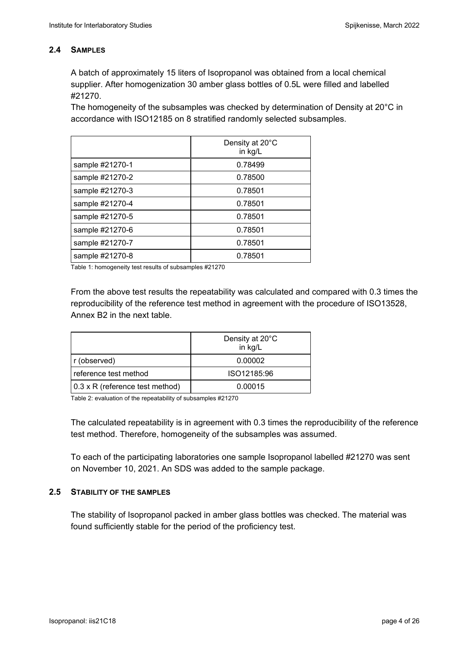## **2.4 SAMPLES**

A batch of approximately 15 liters of Isopropanol was obtained from a local chemical supplier. After homogenization 30 amber glass bottles of 0.5L were filled and labelled #21270.

The homogeneity of the subsamples was checked by determination of Density at 20°C in accordance with ISO12185 on 8 stratified randomly selected subsamples.

|                 | Density at 20°C<br>in kg/L |
|-----------------|----------------------------|
| sample #21270-1 | 0.78499                    |
| sample #21270-2 | 0.78500                    |
| sample #21270-3 | 0.78501                    |
| sample #21270-4 | 0.78501                    |
| sample #21270-5 | 0.78501                    |
| sample #21270-6 | 0.78501                    |
| sample #21270-7 | 0.78501                    |
| sample #21270-8 | 0.78501                    |

Table 1: homogeneity test results of subsamples #21270

From the above test results the repeatability was calculated and compared with 0.3 times the reproducibility of the reference test method in agreement with the procedure of ISO13528, Annex B2 in the next table.

|                                 | Density at 20°C<br>in kg/L |
|---------------------------------|----------------------------|
| r (observed)                    | 0.00002                    |
| reference test method           | ISO12185:96                |
| 0.3 x R (reference test method) | 0.00015                    |

Table 2: evaluation of the repeatability of subsamples #21270

The calculated repeatability is in agreement with 0.3 times the reproducibility of the reference test method. Therefore, homogeneity of the subsamples was assumed.

To each of the participating laboratories one sample Isopropanol labelled #21270 was sent on November 10, 2021. An SDS was added to the sample package.

## **2.5 STABILITY OF THE SAMPLES**

The stability of Isopropanol packed in amber glass bottles was checked. The material was found sufficiently stable for the period of the proficiency test.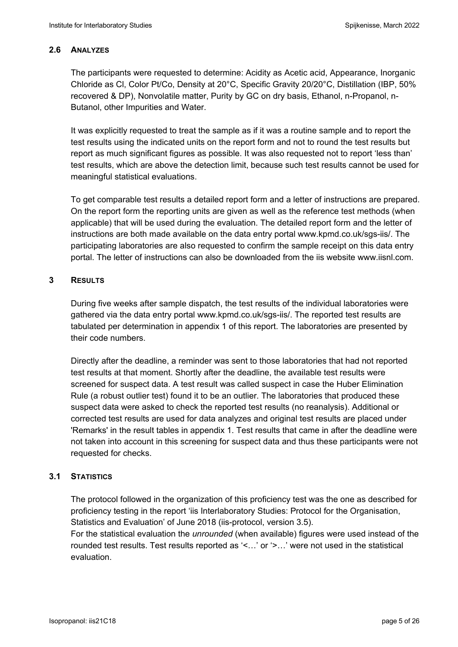### **2.6 ANALYZES**

The participants were requested to determine: Acidity as Acetic acid, Appearance, Inorganic Chloride as Cl, Color Pt/Co, Density at 20°C, Specific Gravity 20/20°C, Distillation (IBP, 50% recovered & DP), Nonvolatile matter, Purity by GC on dry basis, Ethanol, n-Propanol, n-Butanol, other Impurities and Water.

It was explicitly requested to treat the sample as if it was a routine sample and to report the test results using the indicated units on the report form and not to round the test results but report as much significant figures as possible. It was also requested not to report 'less than' test results, which are above the detection limit, because such test results cannot be used for meaningful statistical evaluations.

To get comparable test results a detailed report form and a letter of instructions are prepared. On the report form the reporting units are given as well as the reference test methods (when applicable) that will be used during the evaluation. The detailed report form and the letter of instructions are both made available on the data entry portal www.kpmd.co.uk/sgs-iis/. The participating laboratories are also requested to confirm the sample receipt on this data entry portal. The letter of instructions can also be downloaded from the iis website www.iisnl.com.

### **3 RESULTS**

During five weeks after sample dispatch, the test results of the individual laboratories were gathered via the data entry portal www.kpmd.co.uk/sgs-iis/. The reported test results are tabulated per determination in appendix 1 of this report. The laboratories are presented by their code numbers.

Directly after the deadline, a reminder was sent to those laboratories that had not reported test results at that moment. Shortly after the deadline, the available test results were screened for suspect data. A test result was called suspect in case the Huber Elimination Rule (a robust outlier test) found it to be an outlier. The laboratories that produced these suspect data were asked to check the reported test results (no reanalysis). Additional or corrected test results are used for data analyzes and original test results are placed under 'Remarks' in the result tables in appendix 1. Test results that came in after the deadline were not taken into account in this screening for suspect data and thus these participants were not requested for checks.

## **3.1 STATISTICS**

The protocol followed in the organization of this proficiency test was the one as described for proficiency testing in the report 'iis Interlaboratory Studies: Protocol for the Organisation, Statistics and Evaluation' of June 2018 (iis-protocol, version 3.5).

For the statistical evaluation the *unrounded* (when available) figures were used instead of the rounded test results. Test results reported as '<…' or '>…' were not used in the statistical evaluation.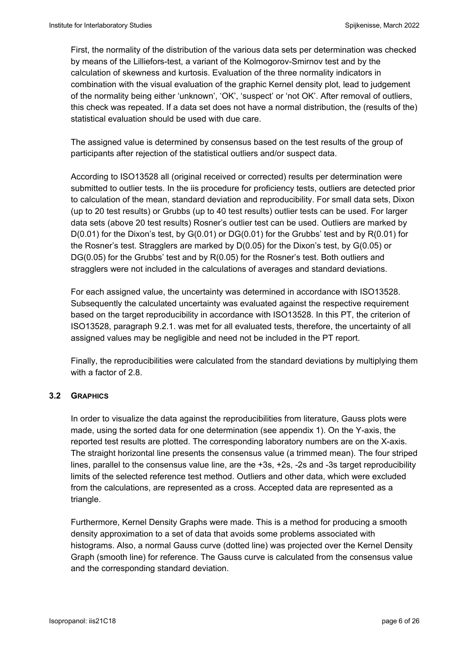First, the normality of the distribution of the various data sets per determination was checked by means of the Lilliefors-test, a variant of the Kolmogorov-Smirnov test and by the calculation of skewness and kurtosis. Evaluation of the three normality indicators in combination with the visual evaluation of the graphic Kernel density plot, lead to judgement of the normality being either 'unknown', 'OK', 'suspect' or 'not OK'. After removal of outliers, this check was repeated. If a data set does not have a normal distribution, the (results of the) statistical evaluation should be used with due care.

The assigned value is determined by consensus based on the test results of the group of participants after rejection of the statistical outliers and/or suspect data.

According to ISO13528 all (original received or corrected) results per determination were submitted to outlier tests. In the iis procedure for proficiency tests, outliers are detected prior to calculation of the mean, standard deviation and reproducibility. For small data sets, Dixon (up to 20 test results) or Grubbs (up to 40 test results) outlier tests can be used. For larger data sets (above 20 test results) Rosner's outlier test can be used. Outliers are marked by D(0.01) for the Dixon's test, by G(0.01) or DG(0.01) for the Grubbs' test and by R(0.01) for the Rosner's test. Stragglers are marked by D(0.05) for the Dixon's test, by G(0.05) or DG(0.05) for the Grubbs' test and by R(0.05) for the Rosner's test. Both outliers and stragglers were not included in the calculations of averages and standard deviations.

For each assigned value, the uncertainty was determined in accordance with ISO13528. Subsequently the calculated uncertainty was evaluated against the respective requirement based on the target reproducibility in accordance with ISO13528. In this PT, the criterion of ISO13528, paragraph 9.2.1. was met for all evaluated tests, therefore, the uncertainty of all assigned values may be negligible and need not be included in the PT report.

Finally, the reproducibilities were calculated from the standard deviations by multiplying them with a factor of 2.8.

## **3.2 GRAPHICS**

In order to visualize the data against the reproducibilities from literature, Gauss plots were made, using the sorted data for one determination (see appendix 1). On the Y-axis, the reported test results are plotted. The corresponding laboratory numbers are on the X-axis. The straight horizontal line presents the consensus value (a trimmed mean). The four striped lines, parallel to the consensus value line, are the +3s, +2s, -2s and -3s target reproducibility limits of the selected reference test method. Outliers and other data, which were excluded from the calculations, are represented as a cross. Accepted data are represented as a triangle.

Furthermore, Kernel Density Graphs were made. This is a method for producing a smooth density approximation to a set of data that avoids some problems associated with histograms. Also, a normal Gauss curve (dotted line) was projected over the Kernel Density Graph (smooth line) for reference. The Gauss curve is calculated from the consensus value and the corresponding standard deviation.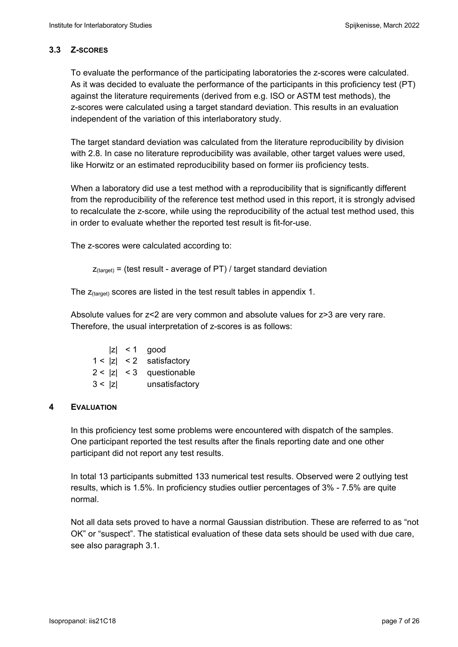## **3.3 Z-SCORES**

To evaluate the performance of the participating laboratories the z-scores were calculated. As it was decided to evaluate the performance of the participants in this proficiency test (PT) against the literature requirements (derived from e.g. ISO or ASTM test methods), the z-scores were calculated using a target standard deviation. This results in an evaluation independent of the variation of this interlaboratory study.

The target standard deviation was calculated from the literature reproducibility by division with 2.8. In case no literature reproducibility was available, other target values were used, like Horwitz or an estimated reproducibility based on former iis proficiency tests.

When a laboratory did use a test method with a reproducibility that is significantly different from the reproducibility of the reference test method used in this report, it is strongly advised to recalculate the z-score, while using the reproducibility of the actual test method used, this in order to evaluate whether the reported test result is fit-for-use.

The z-scores were calculated according to:

```
Z_{\text{target}} = (test result - average of PT) / target standard deviation
```
The  $z_{\text{(target)}}$  scores are listed in the test result tables in appendix 1.

Absolute values for z<2 are very common and absolute values for z>3 are very rare. Therefore, the usual interpretation of z-scores is as follows:

|        | $ z  < 1$ good             |
|--------|----------------------------|
|        | $1 <  z  < 2$ satisfactory |
|        | $2 <  z  < 3$ questionable |
| 3 <  z | unsatisfactory             |

## **4 EVALUATION**

In this proficiency test some problems were encountered with dispatch of the samples. One participant reported the test results after the finals reporting date and one other participant did not report any test results.

In total 13 participants submitted 133 numerical test results. Observed were 2 outlying test results, which is 1.5%. In proficiency studies outlier percentages of 3% - 7.5% are quite normal.

Not all data sets proved to have a normal Gaussian distribution. These are referred to as "not OK" or "suspect". The statistical evaluation of these data sets should be used with due care, see also paragraph 3.1.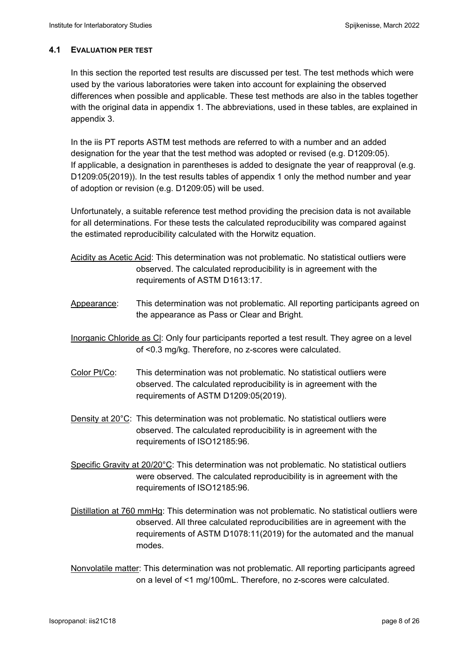### **4.1 EVALUATION PER TEST**

In this section the reported test results are discussed per test. The test methods which were used by the various laboratories were taken into account for explaining the observed differences when possible and applicable. These test methods are also in the tables together with the original data in appendix 1. The abbreviations, used in these tables, are explained in appendix 3.

In the iis PT reports ASTM test methods are referred to with a number and an added designation for the year that the test method was adopted or revised (e.g. D1209:05). If applicable, a designation in parentheses is added to designate the year of reapproval (e.g. D1209:05(2019)). In the test results tables of appendix 1 only the method number and year of adoption or revision (e.g. D1209:05) will be used.

Unfortunately, a suitable reference test method providing the precision data is not available for all determinations. For these tests the calculated reproducibility was compared against the estimated reproducibility calculated with the Horwitz equation.

- Acidity as Acetic Acid: This determination was not problematic. No statistical outliers were observed. The calculated reproducibility is in agreement with the requirements of ASTM D1613:17.
- Appearance: This determination was not problematic. All reporting participants agreed on the appearance as Pass or Clear and Bright.
- Inorganic Chloride as Cl: Only four participants reported a test result. They agree on a level of <0.3 mg/kg. Therefore, no z-scores were calculated.
- Color Pt/Co: This determination was not problematic. No statistical outliers were observed. The calculated reproducibility is in agreement with the requirements of ASTM D1209:05(2019).
- Density at 20°C: This determination was not problematic. No statistical outliers were observed. The calculated reproducibility is in agreement with the requirements of ISO12185:96.
- Specific Gravity at 20/20°C: This determination was not problematic. No statistical outliers were observed. The calculated reproducibility is in agreement with the requirements of ISO12185:96.

Distillation at 760 mmHg: This determination was not problematic. No statistical outliers were observed. All three calculated reproducibilities are in agreement with the requirements of ASTM D1078:11(2019) for the automated and the manual modes.

Nonvolatile matter: This determination was not problematic. All reporting participants agreed on a level of <1 mg/100mL. Therefore, no z-scores were calculated.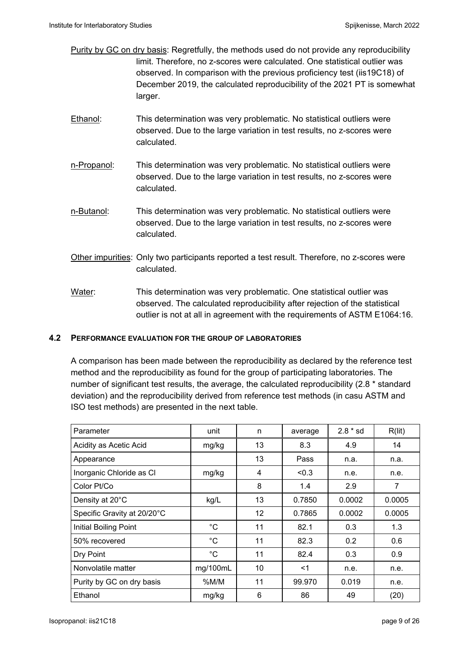- Purity by GC on dry basis: Regretfully, the methods used do not provide any reproducibility limit. Therefore, no z-scores were calculated. One statistical outlier was observed. In comparison with the previous proficiency test (iis19C18) of December 2019, the calculated reproducibility of the 2021 PT is somewhat larger.
- Ethanol: This determination was very problematic. No statistical outliers were observed. Due to the large variation in test results, no z-scores were calculated.
- n-Propanol: This determination was very problematic. No statistical outliers were observed. Due to the large variation in test results, no z-scores were calculated.
- n-Butanol: This determination was very problematic. No statistical outliers were observed. Due to the large variation in test results, no z-scores were calculated.
- Other impurities: Only two participants reported a test result. Therefore, no z-scores were calculated.
- Water: This determination was very problematic. One statistical outlier was observed. The calculated reproducibility after rejection of the statistical outlier is not at all in agreement with the requirements of ASTM E1064:16.

## **4.2 PERFORMANCE EVALUATION FOR THE GROUP OF LABORATORIES**

A comparison has been made between the reproducibility as declared by the reference test method and the reproducibility as found for the group of participating laboratories. The number of significant test results, the average, the calculated reproducibility (2.8 \* standard deviation) and the reproducibility derived from reference test methods (in casu ASTM and ISO test methods) are presented in the next table.

| Parameter                   | unit        | n  | average | $2.8 * sd$       | R(lit) |
|-----------------------------|-------------|----|---------|------------------|--------|
| Acidity as Acetic Acid      | mg/kg       | 13 | 8.3     | 4.9              | 14     |
| Appearance                  |             | 13 | Pass    | n.a.             | n.a.   |
| Inorganic Chloride as CI    | mg/kg       | 4  | < 0.3   | n.e.             | n.e.   |
| Color Pt/Co                 |             | 8  | 1.4     | 2.9              | 7      |
| Density at 20°C             | kg/L        | 13 | 0.7850  | 0.0002           | 0.0005 |
| Specific Gravity at 20/20°C |             | 12 | 0.7865  | 0.0002           | 0.0005 |
| Initial Boiling Point       | $^{\circ}C$ | 11 | 82.1    | 0.3              | 1.3    |
| 50% recovered               | °C          | 11 | 82.3    | 0.2 <sub>0</sub> | 0.6    |
| Dry Point                   | $^{\circ}C$ | 11 | 82.4    | 0.3              | 0.9    |
| Nonvolatile matter          | mg/100mL    | 10 | $<$ 1   | n.e.             | n.e.   |
| Purity by GC on dry basis   | $%$ M/M     | 11 | 99.970  | 0.019            | n.e.   |
| Ethanol                     | mg/kg       | 6  | 86      | 49               | (20)   |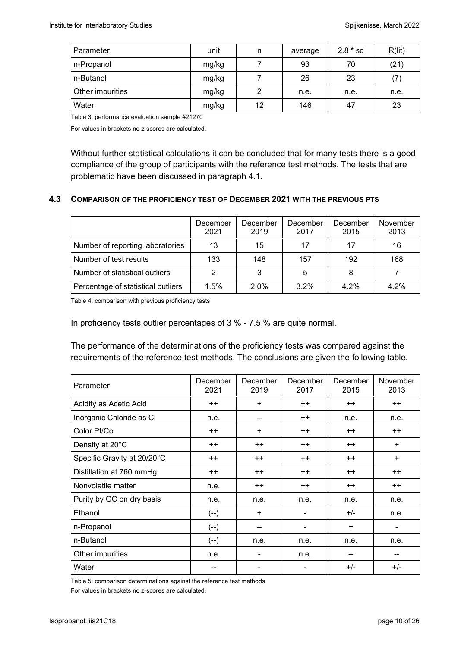| Parameter        | unit  | n  | average | $2.8 * sd$ | R(lit) |
|------------------|-------|----|---------|------------|--------|
| n-Propanol       | mg/kg |    | 93      | 70         | (21)   |
| n-Butanol        | mg/kg |    | 26      | 23         |        |
| Other impurities | mg/kg | 2  | n.e.    | n.e.       | n.e.   |
| Water            | mg/kg | 12 | 146     | 47         | 23     |

Table 3: performance evaluation sample #21270

For values in brackets no z-scores are calculated.

Without further statistical calculations it can be concluded that for many tests there is a good compliance of the group of participants with the reference test methods. The tests that are problematic have been discussed in paragraph 4.1.

### **4.3 COMPARISON OF THE PROFICIENCY TEST OF DECEMBER 2021 WITH THE PREVIOUS PTS**

|                                    | December<br>2021 | December<br>2019 | December<br>2017 | December<br>2015 | November<br>2013 |
|------------------------------------|------------------|------------------|------------------|------------------|------------------|
| Number of reporting laboratories   | 13               | 15               | 17               | 17               | 16               |
| Number of test results             | 133              | 148              | 157              | 192              | 168              |
| Number of statistical outliers     | 2                | 3                | 5                |                  |                  |
| Percentage of statistical outliers | 1.5%             | 2.0%             | $3.2\%$          | 4.2%             | 4.2%             |

Table 4: comparison with previous proficiency tests

In proficiency tests outlier percentages of 3 % - 7.5 % are quite normal.

The performance of the determinations of the proficiency tests was compared against the requirements of the reference test methods. The conclusions are given the following table.

| Parameter                   | December<br>2021 | December<br>2019 | December<br>2017 | December<br>2015 | November<br>2013 |
|-----------------------------|------------------|------------------|------------------|------------------|------------------|
| Acidity as Acetic Acid      | $^{++}$          | $\ddot{}$        | $++$             | $^{++}$          | $++$             |
| Inorganic Chloride as Cl    | n.e.             | --               | $++$             | n.e.             | n.e.             |
| Color Pt/Co                 | $++$             | $\ddot{}$        | $++$             | $++$             | $++$             |
| Density at 20°C             | $++$             | $++$             | $++$             | $++$             | $+$              |
| Specific Gravity at 20/20°C | $++$             | $++$             | $++$             | $++$             | $+$              |
| Distillation at 760 mmHg    | $++$             | $++$             | $++$             | $++$             | $++$             |
| Nonvolatile matter          | n.e.             | $++$             | $++$             | $++$             | $++$             |
| Purity by GC on dry basis   | n.e.             | n.e.             | n.e.             | n.e.             | n.e.             |
| Ethanol                     | (--)             | $+$              | $\blacksquare$   | $+/-$            | n.e.             |
| n-Propanol                  | (--)             | --               | -                | $\ddot{}$        |                  |
| n-Butanol                   | $(-)$            | n.e.             | n.e.             | n.e.             | n.e.             |
| Other impurities            | n.e.             | $\blacksquare$   | n.e.             | --               |                  |
| Water                       |                  | $\blacksquare$   |                  | $+/-$            | $+/-$            |

Table 5: comparison determinations against the reference test methods

For values in brackets no z-scores are calculated.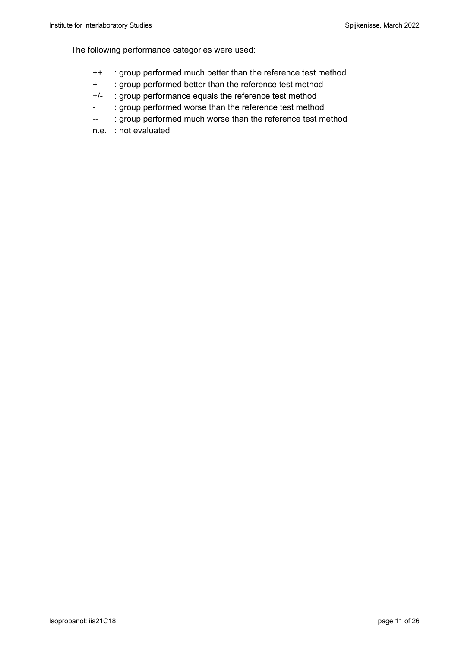The following performance categories were used:

- ++ : group performed much better than the reference test method
- + : group performed better than the reference test method
- +/- : group performance equals the reference test method
- : group performed worse than the reference test method
- -- : group performed much worse than the reference test method
- n.e. : not evaluated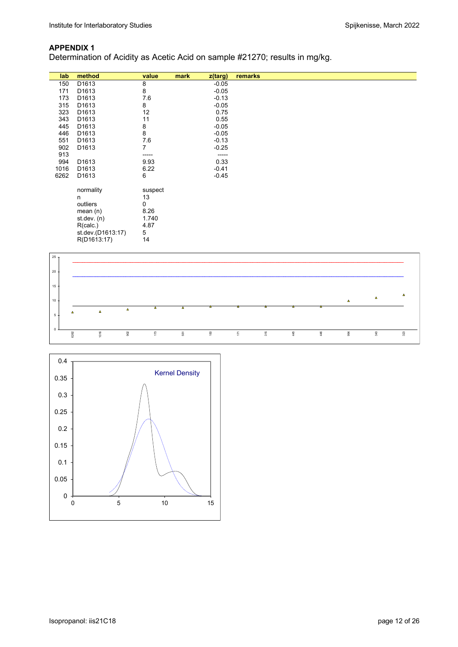## **APPENDIX 1**

Determination of Acidity as Acetic Acid on sample #21270; results in mg/kg.

| lab  | method            | value   | mark<br>z(targ) | remarks |
|------|-------------------|---------|-----------------|---------|
| 150  | D1613             | 8       | $-0.05$         |         |
| 171  | D <sub>1613</sub> | 8       | $-0.05$         |         |
| 173  | D <sub>1613</sub> | 7.6     | $-0.13$         |         |
| 315  | D <sub>1613</sub> | 8       | $-0.05$         |         |
| 323  | D <sub>1613</sub> | 12      | 0.75            |         |
| 343  | D <sub>1613</sub> | 11      | 0.55            |         |
| 445  | D1613             | 8       | $-0.05$         |         |
| 446  | D1613             | 8       | $-0.05$         |         |
| 551  | D1613             | $7.6\,$ | $-0.13$         |         |
| 902  | D <sub>1613</sub> | 7       | $-0.25$         |         |
| 913  |                   | -----   | -----           |         |
| 994  | D1613             | 9.93    | 0.33            |         |
| 1016 | D <sub>1613</sub> | 6.22    | $-0.41$         |         |
| 6262 | D <sub>1613</sub> | 6       | $-0.45$         |         |
|      |                   |         |                 |         |
|      | normality         | suspect |                 |         |
|      | n                 | 13      |                 |         |
|      | outliers          | 0       |                 |         |
|      | mean $(n)$        | 8.26    |                 |         |
|      | st. dev. (n)      | 1.740   |                 |         |
|      | R(calc.)          | 4.87    |                 |         |
|      | st.dev.(D1613:17) | 5       |                 |         |
|      | R(D1613:17)       | 14      |                 |         |



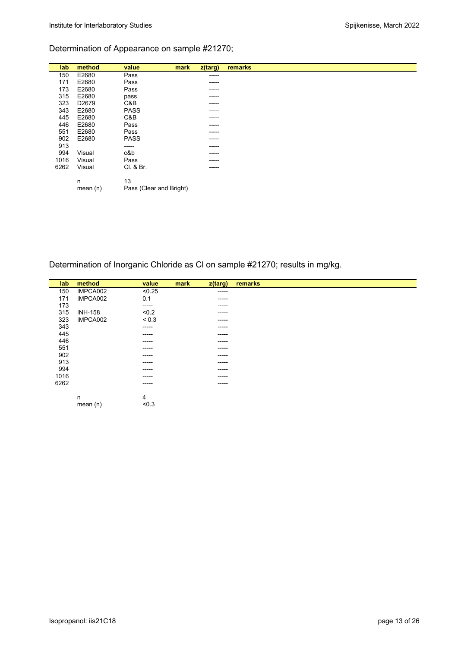## Determination of Appearance on sample #21270;

| lab  | method            | value                   | mark | $z$ (targ) | remarks |
|------|-------------------|-------------------------|------|------------|---------|
| 150  | E2680             | Pass                    |      | -----      |         |
| 171  | E2680             | Pass                    |      | -----      |         |
| 173  | E2680             | Pass                    |      | -----      |         |
| 315  | E2680             | pass                    |      | -----      |         |
| 323  | D <sub>2679</sub> | C&B                     |      | -----      |         |
| 343  | E2680             | <b>PASS</b>             |      | -----      |         |
| 445  | E2680             | C&B                     |      | -----      |         |
| 446  | E2680             | Pass                    |      | -----      |         |
| 551  | E2680             | Pass                    |      | -----      |         |
| 902  | E2680             | <b>PASS</b>             |      | -----      |         |
| 913  |                   | -----                   |      | -----      |         |
| 994  | Visual            | c&b                     |      | -----      |         |
| 1016 | Visual            | Pass                    |      |            |         |
| 6262 | Visual            | Cl. & Br.               |      | -----      |         |
|      |                   |                         |      |            |         |
|      | n                 | 13                      |      |            |         |
|      | mean $(n)$        | Pass (Clear and Bright) |      |            |         |

## Determination of Inorganic Chloride as Cl on sample #21270; results in mg/kg.

| lab  | method         | value      | mark | z(targ) | remarks |
|------|----------------|------------|------|---------|---------|
| 150  | IMPCA002       | < 0.25     |      | -----   |         |
| 171  | IMPCA002       | 0.1        |      | -----   |         |
| 173  |                | -----      |      | -----   |         |
| 315  | <b>INH-158</b> | < 0.2      |      | ------  |         |
| 323  | IMPCA002       | ${}_{0.3}$ |      | -----   |         |
| 343  |                | -----      |      | -----   |         |
| 445  |                | ------     |      | -----   |         |
| 446  |                | ------     |      | ------  |         |
| 551  |                | ------     |      | -----   |         |
| 902  |                | ------     |      | ------  |         |
| 913  |                | ------     |      | -----   |         |
| 994  |                | ------     |      | -----   |         |
| 1016 |                | ------     |      | -----   |         |
| 6262 |                | ------     |      | -----   |         |
|      |                |            |      |         |         |
|      | n              | 4          |      |         |         |
|      | mean $(n)$     | < 0.3      |      |         |         |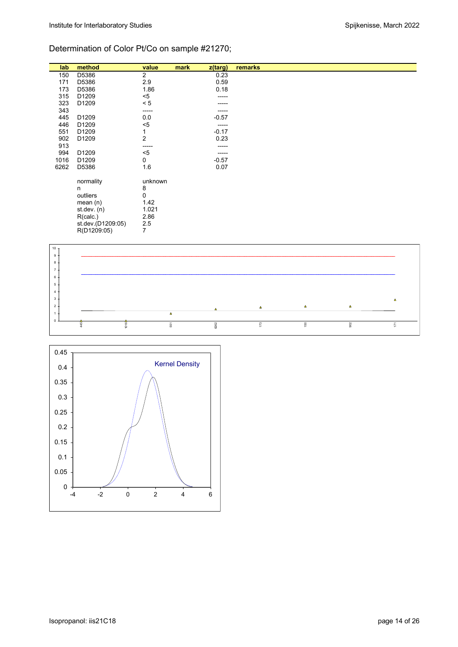## Determination of Color Pt/Co on sample #21270;

| lab  | method            | value          | mark | z(targ) | remarks |
|------|-------------------|----------------|------|---------|---------|
| 150  | D5386             | 2              |      | 0.23    |         |
| 171  | D5386             | 2.9            |      | 0.59    |         |
| 173  | D5386             | 1.86           |      | 0.18    |         |
| 315  | D1209             | $5$            |      | -----   |         |
| 323  | D1209             | < 5            |      |         |         |
| 343  |                   | -----          |      |         |         |
| 445  | D1209             | 0.0            |      | $-0.57$ |         |
| 446  | D1209             | $5$            |      | -----   |         |
| 551  | D1209             | 1              |      | $-0.17$ |         |
| 902  | D1209             | $\overline{2}$ |      | 0.23    |         |
| 913  |                   | -----          |      | -----   |         |
| 994  | D1209             | $5$            |      | -----   |         |
| 1016 | D1209             | 0              |      | $-0.57$ |         |
| 6262 | D5386             | 1.6            |      | 0.07    |         |
|      | normality         | unknown        |      |         |         |
|      | n                 | 8              |      |         |         |
|      | outliers          | 0              |      |         |         |
|      | mean $(n)$        | 1.42           |      |         |         |
|      | st.dev. (n)       | 1.021          |      |         |         |
|      | R(calc.)          | 2.86           |      |         |         |
|      | st.dev.(D1209:05) | 2.5            |      |         |         |
|      | R(D1209:05)       | 7              |      |         |         |
|      |                   |                |      |         |         |



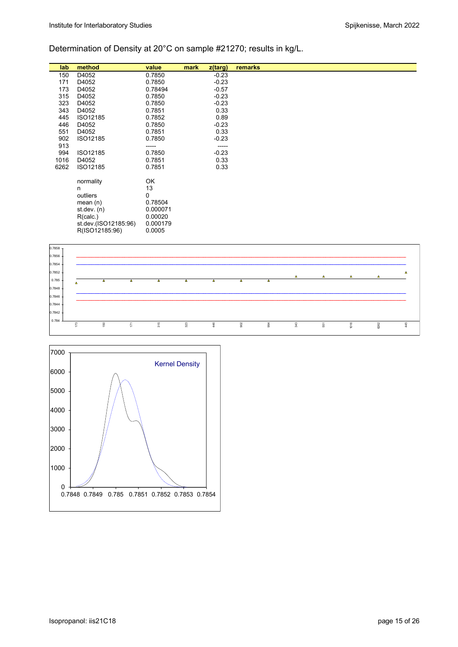# Determination of Density at 20°C on sample #21270; results in kg/L.

| lab  | method               | value    | mark | z(targ) | remarks |
|------|----------------------|----------|------|---------|---------|
| 150  | D4052                | 0.7850   |      | $-0.23$ |         |
| 171  | D4052                | 0.7850   |      | $-0.23$ |         |
| 173  | D4052                |          |      | $-0.57$ |         |
|      |                      | 0.78494  |      |         |         |
| 315  | D4052                | 0.7850   |      | $-0.23$ |         |
| 323  | D4052                | 0.7850   |      | $-0.23$ |         |
| 343  | D4052                | 0.7851   |      | 0.33    |         |
| 445  | ISO12185             | 0.7852   |      | 0.89    |         |
| 446  | D4052                | 0.7850   |      | $-0.23$ |         |
| 551  | D4052                | 0.7851   |      | 0.33    |         |
| 902  | ISO12185             | 0.7850   |      | $-0.23$ |         |
| 913  |                      | -----    |      | -----   |         |
| 994  | ISO12185             | 0.7850   |      | $-0.23$ |         |
| 1016 | D4052                | 0.7851   |      | 0.33    |         |
| 6262 | ISO12185             | 0.7851   |      | 0.33    |         |
|      |                      |          |      |         |         |
|      | normality            | OK       |      |         |         |
|      | n                    | 13       |      |         |         |
|      |                      | 0        |      |         |         |
|      | outliers             |          |      |         |         |
|      | mean $(n)$           | 0.78504  |      |         |         |
|      | st. dev. (n)         | 0.000071 |      |         |         |
|      | R(calc.)             | 0.00020  |      |         |         |
|      | st.dev.(ISO12185:96) | 0.000179 |      |         |         |
|      | R(ISO12185:96)       | 0.0005   |      |         |         |
|      |                      |          |      |         |         |



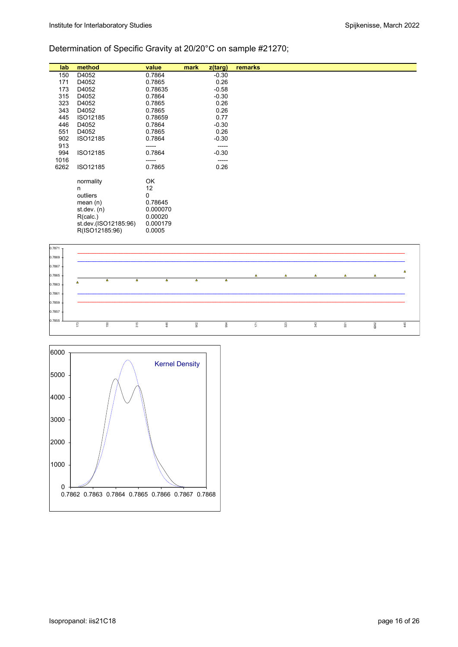## Determination of Specific Gravity at 20/20°C on sample #21270;

| lab        | method               | value    | mark | z(targ) | remarks |
|------------|----------------------|----------|------|---------|---------|
|            |                      |          |      |         |         |
| 150        | D4052                | 0.7864   |      | $-0.30$ |         |
| 171        | D4052                | 0.7865   |      | 0.26    |         |
| 173        | D4052                | 0.78635  |      | $-0.58$ |         |
| 315        | D4052                | 0.7864   |      | $-0.30$ |         |
| 323        | D4052                | 0.7865   |      | 0.26    |         |
| 343        | D4052                | 0.7865   |      | 0.26    |         |
| 445        | ISO12185             | 0.78659  |      | 0.77    |         |
| 446        | D4052                | 0.7864   |      | $-0.30$ |         |
| 551        | D4052                | 0.7865   |      | 0.26    |         |
| 902        | ISO12185             | 0.7864   |      | $-0.30$ |         |
| 913        |                      | -----    |      | ------  |         |
| 994        | ISO12185             | 0.7864   |      | $-0.30$ |         |
| 1016       |                      | -----    |      | ------  |         |
| 6262       | ISO12185             | 0.7865   |      | 0.26    |         |
|            |                      |          |      |         |         |
|            | normality            | OK       |      |         |         |
|            | n                    | 12       |      |         |         |
|            | outliers             | 0        |      |         |         |
|            | mean(n)              | 0.78645  |      |         |         |
|            | st dev. $(n)$        | 0.000070 |      |         |         |
|            | R(calc.)             | 0.00020  |      |         |         |
|            | st.dev.(ISO12185:96) | 0.000179 |      |         |         |
|            | R(ISO12185:96)       | 0.0005   |      |         |         |
|            |                      |          |      |         |         |
|            |                      |          |      |         |         |
| $0.7871$ T |                      |          |      |         |         |



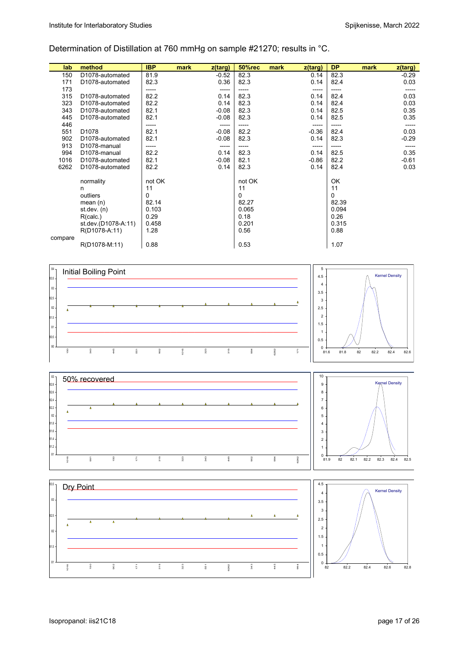## Determination of Distillation at 760 mmHg on sample #21270; results in °C.

| lab     | method                       | <b>IBP</b> | mark<br>z(targ) | <b>50%rec</b> | mark<br>z(targ) | <b>DP</b> | mark | z(targ) |
|---------|------------------------------|------------|-----------------|---------------|-----------------|-----------|------|---------|
| 150     | D <sub>1078</sub> -automated | 81.9       | $-0.52$         | 82.3          | 0.14            | 82.3      |      | $-0.29$ |
| 171     | D <sub>1078</sub> -automated | 82.3       | 0.36            | 82.3          | 0.14            | 82.4      |      | 0.03    |
| 173     |                              | -----      | -----           | -----         | -----           | -----     |      |         |
| 315     | D <sub>1078</sub> -automated | 82.2       | 0.14            | 82.3          | 0.14            | 82.4      |      | 0.03    |
| 323     | D <sub>1078</sub> -automated | 82.2       | 0.14            | 82.3          | 0.14            | 82.4      |      | 0.03    |
| 343     | D1078-automated              | 82.1       | $-0.08$         | 82.3          | 0.14            | 82.5      |      | 0.35    |
| 445     | D <sub>1078</sub> -automated | 82.1       | $-0.08$         | 82.3          | 0.14            | 82.5      |      | 0.35    |
| 446     |                              | -----      | -----           | -----         | -----           | -----     |      |         |
| 551     | D <sub>1078</sub>            | 82.1       | $-0.08$         | 82.2          | $-0.36$         | 82.4      |      | 0.03    |
| 902     | D <sub>1078</sub> -automated | 82.1       | $-0.08$         | 82.3          | 0.14            | 82.3      |      | $-0.29$ |
| 913     | D <sub>1078</sub> -manual    | -----      | -----           |               | -----           |           |      | -----   |
| 994     | D <sub>1078</sub> -manual    | 82.2       | 0.14            | 82.3          | 0.14            | 82.5      |      | 0.35    |
| 1016    | D <sub>1078</sub> -automated | 82.1       | $-0.08$         | 82.1          | $-0.86$         | 82.2      |      | $-0.61$ |
| 6262    | D <sub>1078</sub> -automated | 82.2       | 0.14            | 82.3          | 0.14            | 82.4      |      | 0.03    |
|         |                              |            |                 |               |                 |           |      |         |
|         | normality                    | not OK     |                 | not OK        |                 | OK        |      |         |
|         | n                            | 11         |                 | 11            |                 | 11        |      |         |
|         | outliers                     | 0          |                 | 0             |                 | 0         |      |         |
|         | mean $(n)$                   | 82.14      |                 | 82.27         |                 | 82.39     |      |         |
|         | st dev. $(n)$                | 0.103      |                 | 0.065         |                 | 0.094     |      |         |
|         | R(calc.)                     | 0.29       |                 | 0.18          |                 | 0.26      |      |         |
|         | st.dev.(D1078-A:11)          | 0.458      |                 | 0.201         |                 | 0.315     |      |         |
|         | R(D1078-A:11)                | 1.28       |                 | 0.56          |                 | 0.88      |      |         |
| compare |                              |            |                 |               |                 |           |      |         |
|         | R(D1078-M:11)                | 0.88       |                 | 0.53          |                 | 1.07      |      |         |





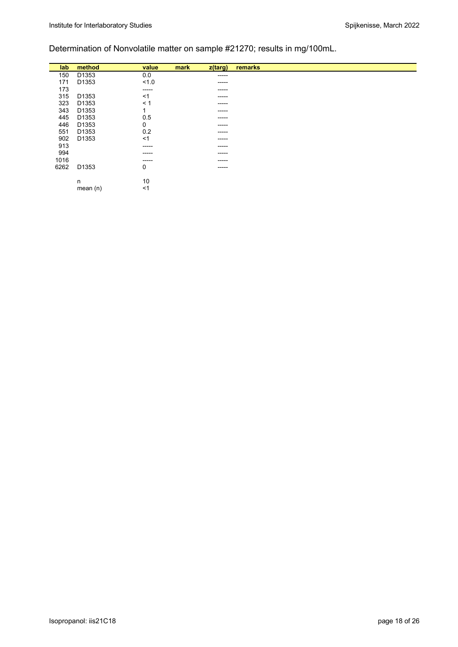## Determination of Nonvolatile matter on sample #21270; results in mg/100mL.

| lab  | method     | value    | mark | $z$ (targ)  | remarks |  |
|------|------------|----------|------|-------------|---------|--|
|      |            |          |      |             |         |  |
| 150  | D1353      | 0.0      |      | ------      |         |  |
| 171  | D1353      | 1.0      |      | -----       |         |  |
| 173  |            | -----    |      | ------      |         |  |
| 315  | D1353      | ≺1       |      | -----       |         |  |
| 323  | D1353      | $\leq 1$ |      | ------      |         |  |
| 343  | D1353      | ٠        |      | $- - - - -$ |         |  |
| 445  | D1353      | 0.5      |      | ------      |         |  |
| 446  | D1353      | 0        |      | ------      |         |  |
| 551  | D1353      | 0.2      |      | $- - - - -$ |         |  |
| 902  | D1353      | <1       |      | ------      |         |  |
| 913  |            | -----    |      | $- - - - -$ |         |  |
| 994  |            | ------   |      | $- - - - -$ |         |  |
| 1016 |            | ------   |      | ------      |         |  |
| 6262 | D1353      | 0        |      |             |         |  |
|      |            |          |      | $- - - - -$ |         |  |
|      |            |          |      |             |         |  |
|      | n          | 10       |      |             |         |  |
|      | mean $(n)$ | <1       |      |             |         |  |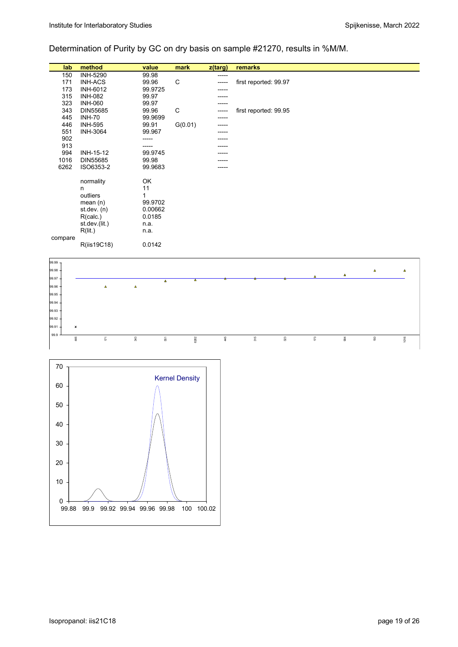## Determination of Purity by GC on dry basis on sample #21270, results in %M/M.

| lab     | method          | value    | mark                    | z(targ) | remarks               |
|---------|-----------------|----------|-------------------------|---------|-----------------------|
| 150     | <b>INH-5290</b> | 99.98    |                         | -----   |                       |
| 171     | <b>INH-ACS</b>  | 99.96    | C                       | -----   | first reported: 99.97 |
| 173     | INH-6012        | 99.9725  |                         |         |                       |
| 315     | <b>INH-082</b>  | 99.97    |                         |         |                       |
| 323     | <b>INH-060</b>  | 99.97    |                         |         |                       |
| 343     | DIN55685        | 99.96    | C                       |         | first reported: 99.95 |
| 445     | <b>INH-70</b>   | 99.9699  |                         |         |                       |
| 446     | <b>INH-595</b>  | 99.91    | G(0.01)                 |         |                       |
| 551     | <b>INH-3064</b> | 99.967   |                         |         |                       |
| 902     |                 |          |                         |         |                       |
| 913     |                 |          |                         |         |                       |
| 994     | INH-15-12       | 99.9745  |                         |         |                       |
| 1016    | DIN55685        | 99.98    |                         |         |                       |
| 6262    | ISO6353-2       | 99.9683  |                         |         |                       |
|         |                 | OK       |                         |         |                       |
|         | normality<br>n. | 11       |                         |         |                       |
|         | outliers        | 1        |                         |         |                       |
|         | mean(n)         | 99.9702  |                         |         |                       |
|         | st.dev. (n)     | 0.00662  |                         |         |                       |
|         | R(calc.)        | 0.0185   |                         |         |                       |
|         | st.dev.(lit.)   | n.a.     |                         |         |                       |
|         | R(lit.)         | n.a.     |                         |         |                       |
| compare |                 |          |                         |         |                       |
|         | R(iis19C18)     | 0.0142   |                         |         |                       |
|         |                 |          |                         |         |                       |
| 99.99   |                 |          |                         |         |                       |
| 99.98   |                 |          |                         |         | $\Delta$<br>$\Delta$  |
| 99.97   |                 |          |                         |         | $\Delta$<br>Δ         |
|         |                 | $\Delta$ | $\overline{\mathbf{A}}$ |         |                       |



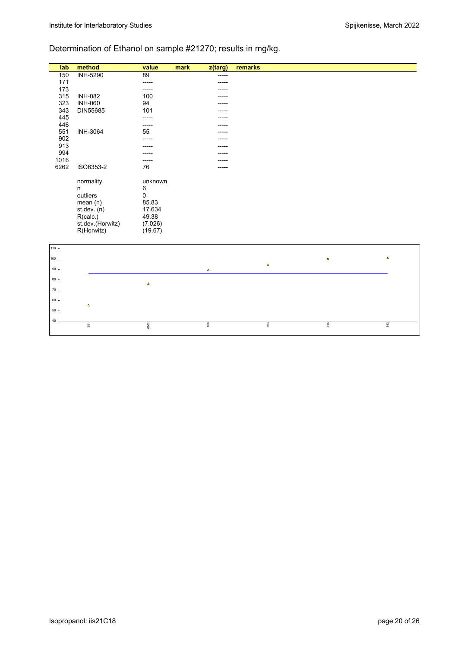# Determination of Ethanol on sample #21270; results in mg/kg.

| lab              | method           | value    | mark | $\overline{z}$ (targ) | remarks              |
|------------------|------------------|----------|------|-----------------------|----------------------|
| 150              | <b>INH-5290</b>  | 89       |      | -----                 |                      |
| 171              |                  | -----    |      |                       |                      |
| 173              |                  | -----    |      |                       |                      |
| 315              | <b>INH-082</b>   | 100      |      |                       |                      |
| 323              | <b>INH-060</b>   | 94       |      |                       |                      |
| 343              | DIN55685         | 101      |      |                       |                      |
| 445              |                  |          |      |                       |                      |
| 446              |                  | ----     |      |                       |                      |
| 551              | INH-3064         | 55       |      |                       |                      |
| 902              |                  |          |      |                       |                      |
| 913<br>994       |                  |          |      |                       |                      |
| 1016             |                  |          |      |                       |                      |
| 6262             | ISO6353-2        | 76       |      |                       |                      |
|                  |                  |          |      |                       |                      |
|                  | normality        | unknown  |      |                       |                      |
|                  | n                | 6        |      |                       |                      |
|                  | outliers         | 0        |      |                       |                      |
|                  | mean(n)          | 85.83    |      |                       |                      |
|                  | st.dev. (n)      | 17.634   |      |                       |                      |
|                  | R(calc.)         | 49.38    |      |                       |                      |
|                  | st.dev.(Horwitz) | (7.026)  |      |                       |                      |
|                  | R(Horwitz)       | (19.67)  |      |                       |                      |
|                  |                  |          |      |                       |                      |
| 110 <sub>7</sub> |                  |          |      |                       |                      |
|                  |                  |          |      |                       |                      |
| 100              |                  |          |      |                       | $\Delta$<br>$\Delta$ |
| 90               |                  |          |      | $\pmb{\Delta}$        | $\Delta$             |
|                  |                  |          |      |                       |                      |
| 80               |                  | $\Delta$ |      |                       |                      |
| 70.              |                  |          |      |                       |                      |
| $60 -$           |                  |          |      |                       |                      |
|                  | $\Delta$         |          |      |                       |                      |
| $50$ .           |                  |          |      |                       |                      |

150

323

315

343

40

551

6262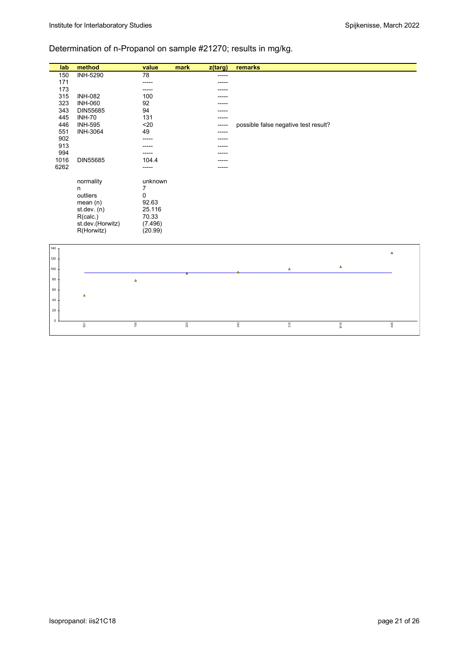# Determination of n-Propanol on sample #21270; results in mg/kg.

| lab         | method           | value          | mark    | z(targ) | remarks                              |          |                |
|-------------|------------------|----------------|---------|---------|--------------------------------------|----------|----------------|
| 150         | <b>INH-5290</b>  | 78             |         |         |                                      |          |                |
| 171         |                  | -----          |         |         |                                      |          |                |
| 173         |                  | -----          |         |         |                                      |          |                |
| 315         | <b>INH-082</b>   | 100            |         |         |                                      |          |                |
| 323         | <b>INH-060</b>   | 92             |         |         |                                      |          |                |
| 343         | DIN55685         | 94             |         |         |                                      |          |                |
| 445         | <b>INH-70</b>    | 131            |         |         |                                      |          |                |
| 446         | <b>INH-595</b>   | $20$           |         | ----    | possible false negative test result? |          |                |
| 551<br>902  | <b>INH-3064</b>  | 49             |         |         |                                      |          |                |
| 913         |                  | -----          |         |         |                                      |          |                |
| 994         |                  |                |         |         |                                      |          |                |
| 1016        | DIN55685         | 104.4          |         |         |                                      |          |                |
| 6262        |                  | -----          |         |         |                                      |          |                |
|             |                  |                |         |         |                                      |          |                |
|             | normality        | unknown        |         |         |                                      |          |                |
|             | n                | $\overline{7}$ |         |         |                                      |          |                |
|             | outliers         | 0              |         |         |                                      |          |                |
|             | mean(n)          | 92.63          |         |         |                                      |          |                |
|             | st.dev. (n)      | 25.116         |         |         |                                      |          |                |
|             | R(calc.)         | 70.33          |         |         |                                      |          |                |
|             | st.dev.(Horwitz) | (7.496)        |         |         |                                      |          |                |
|             | R(Horwitz)       | (20.99)        |         |         |                                      |          |                |
|             |                  |                |         |         |                                      |          |                |
| 140         |                  |                |         |         |                                      |          |                |
| 120         |                  |                |         |         |                                      |          | $\pmb{\Delta}$ |
|             |                  |                |         |         |                                      | $\Delta$ |                |
| 100         |                  |                |         |         | $\Delta$                             |          |                |
| 80          |                  | $\Delta$       |         |         |                                      |          |                |
| 60          |                  |                |         |         |                                      |          |                |
| 40          | $\Delta$         |                |         |         |                                      |          |                |
|             |                  |                |         |         |                                      |          |                |
| 20          |                  |                |         |         |                                      |          |                |
| $\mathsf 0$ | 551              | 150            | $323\,$ |         | 343<br>315                           | 1016     | 445            |
|             |                  |                |         |         |                                      |          |                |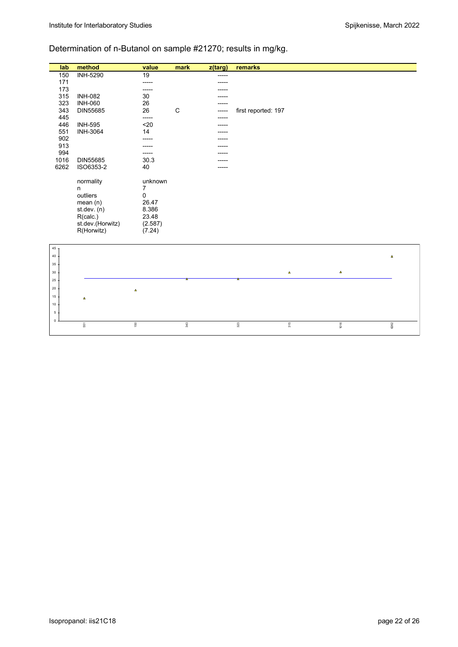# Determination of n-Butanol on sample #21270; results in mg/kg.

| lab             | method           | value          | mark | z(targ) | remarks             |                |          |
|-----------------|------------------|----------------|------|---------|---------------------|----------------|----------|
| 150             | <b>INH-5290</b>  | 19             |      | ----    |                     |                |          |
| 171             |                  | -----          |      |         |                     |                |          |
| 173             |                  |                |      |         |                     |                |          |
| 315             | <b>INH-082</b>   | 30             |      |         |                     |                |          |
| 323             | <b>INH-060</b>   | 26             |      |         |                     |                |          |
| 343             | DIN55685         | 26             | C    |         | first reported: 197 |                |          |
| 445             |                  | -----          |      |         |                     |                |          |
| 446             | <b>INH-595</b>   | $20$           |      |         |                     |                |          |
| 551<br>902      | <b>INH-3064</b>  | 14             |      |         |                     |                |          |
| 913             |                  |                |      |         |                     |                |          |
| 994             |                  |                |      |         |                     |                |          |
| 1016            | DIN55685         | 30.3           |      |         |                     |                |          |
| 6262            | ISO6353-2        | 40             |      |         |                     |                |          |
|                 |                  |                |      |         |                     |                |          |
|                 | normality        | unknown        |      |         |                     |                |          |
|                 | n                | 7              |      |         |                     |                |          |
|                 | outliers         | $\pmb{0}$      |      |         |                     |                |          |
|                 | mean(n)          | 26.47          |      |         |                     |                |          |
|                 | st.dev. (n)      | 8.386          |      |         |                     |                |          |
|                 | R(calc.)         | 23.48          |      |         |                     |                |          |
|                 | st.dev.(Horwitz) | (2.587)        |      |         |                     |                |          |
|                 | R(Horwitz)       | (7.24)         |      |         |                     |                |          |
|                 |                  |                |      |         |                     |                |          |
| 45 <sub>7</sub> |                  |                |      |         |                     |                |          |
| 40              |                  |                |      |         |                     |                | $\Delta$ |
| 35              |                  |                |      |         |                     |                |          |
| 30              |                  |                |      |         | $\pmb{\Delta}$      | $\pmb{\Delta}$ |          |
| 25              |                  |                |      |         |                     |                |          |
| 20              |                  |                |      |         |                     |                |          |
|                 |                  | $\pmb{\Delta}$ |      |         |                     |                |          |
| 15              | $\Delta$         |                |      |         |                     |                |          |
| 10              |                  |                |      |         |                     |                |          |
| $5+$            |                  |                |      |         |                     |                |          |
| $\mathbf{0}$    | 551              | $150\,$        | 343  |         | 323<br>315          | 1016           | 6262     |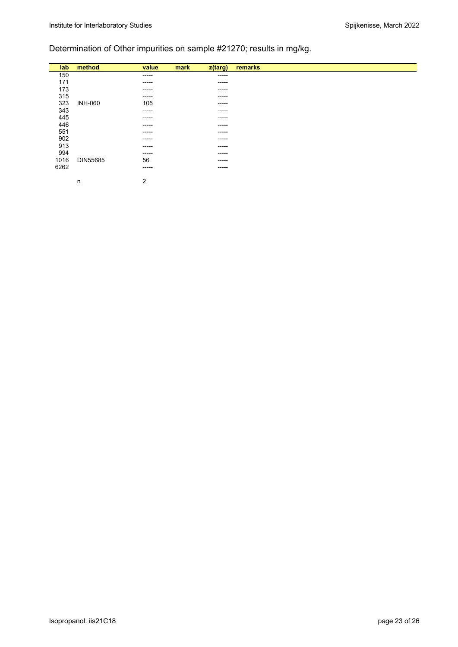# Determination of Other impurities on sample #21270; results in mg/kg.

| lab  | method         | value  | mark | z(targ)     | remarks |
|------|----------------|--------|------|-------------|---------|
| 150  |                | -----  |      | $- - - - -$ |         |
| 171  |                | ------ |      | $- - - - -$ |         |
| 173  |                | -----  |      | $- - - - -$ |         |
| 315  |                | ------ |      | $- - - - -$ |         |
| 323  | <b>INH-060</b> | 105    |      | $- - - - -$ |         |
| 343  |                | ------ |      | $- - - - -$ |         |
| 445  |                | -----  |      | $- - - - -$ |         |
| 446  |                | ------ |      | $- - - - -$ |         |
| 551  |                | -----  |      | $- - - - -$ |         |
| 902  |                | ------ |      | $- - - - -$ |         |
| 913  |                | ------ |      | $- - - - -$ |         |
| 994  |                | ------ |      | $- - - - -$ |         |
| 1016 | DIN55685       | 56     |      | $- - - - -$ |         |
| 6262 |                | -----  |      | $- - - - -$ |         |
|      |                |        |      |             |         |
|      | n              | 2      |      |             |         |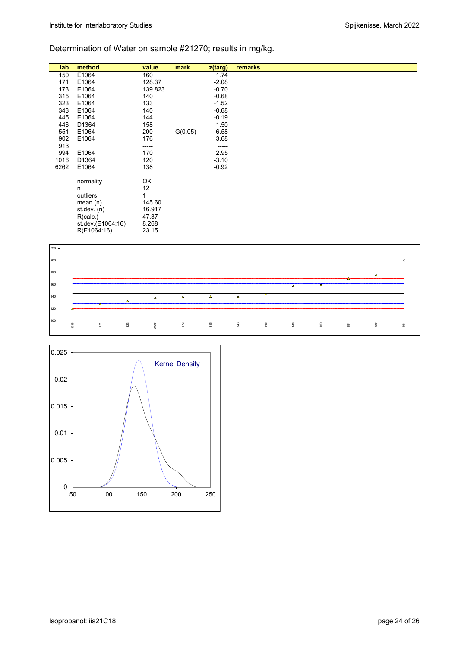# Determination of Water on sample #21270; results in mg/kg.

| lab  | method            | value   | mark    | z(targ) | remarks |
|------|-------------------|---------|---------|---------|---------|
| 150  | E1064             | 160     |         | 1.74    |         |
| 171  | E1064             | 128.37  |         | $-2.08$ |         |
| 173  | E1064             | 139.823 |         | $-0.70$ |         |
| 315  | E1064             | 140     |         | $-0.68$ |         |
| 323  | E1064             | 133     |         | $-1.52$ |         |
| 343  | E1064             | 140     |         | $-0.68$ |         |
| 445  | E1064             | 144     |         | $-0.19$ |         |
| 446  | D1364             | 158     |         | 1.50    |         |
| 551  | E1064             | 200     | G(0.05) | 6.58    |         |
| 902  | E1064             | 176     |         | 3.68    |         |
| 913  |                   | -----   |         | -----   |         |
| 994  | E1064             | 170     |         | 2.95    |         |
| 1016 | D1364             | 120     |         | $-3.10$ |         |
| 6262 | E1064             | 138     |         | $-0.92$ |         |
|      | normality         | OK      |         |         |         |
|      | n                 | 12      |         |         |         |
|      | outliers          | 1       |         |         |         |
|      | mean $(n)$        | 145.60  |         |         |         |
|      | st.dev. $(n)$     | 16.917  |         |         |         |
|      | R(calc.)          | 47.37   |         |         |         |
|      | st.dev.(E1064:16) | 8.268   |         |         |         |
|      | R(E1064:16)       | 23.15   |         |         |         |
|      |                   |         |         |         |         |



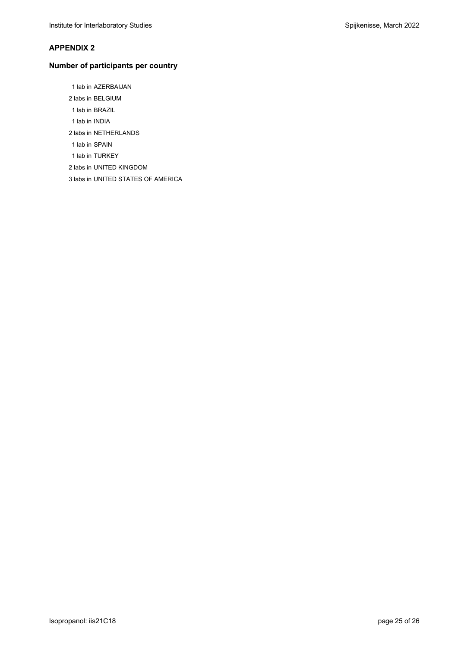#### **APPENDIX 2**

### **Number of participants per country**

1 lab in AZERBAIJAN

- 2 labs in BELGIUM
- 1 lab in BRAZIL
- 1 lab in INDIA
- 2 labs in NETHERLANDS
- 1 lab in SPAIN
- 1 lab in TURKEY
- 2 labs in UNITED KINGDOM
- 3 labs in UNITED STATES OF AMERICA